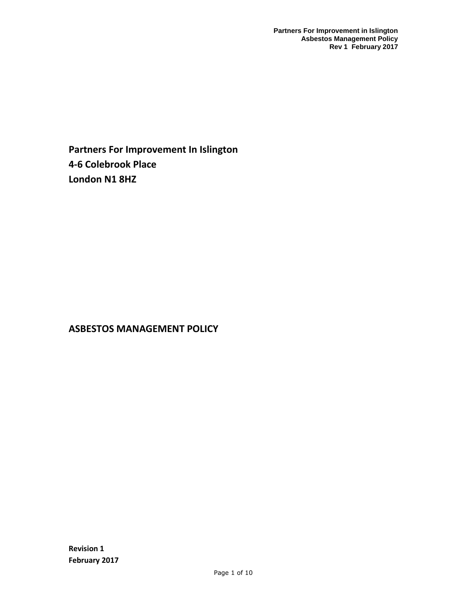**Partners For Improvement In Islington 4-6 Colebrook Place London N1 8HZ**

# **ASBESTOS MANAGEMENT POLICY**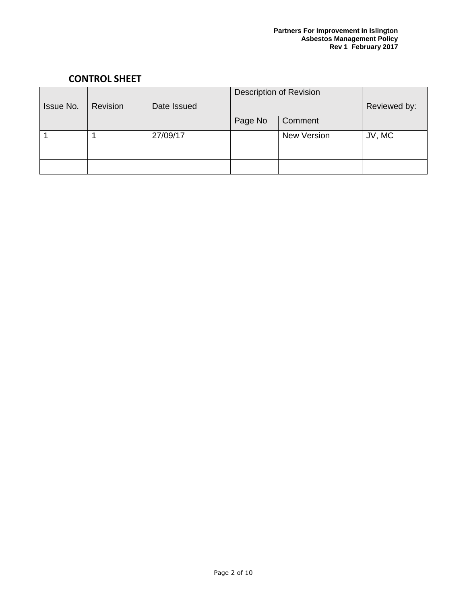## **CONTROL SHEET**

| Issue No. | <b>Revision</b> | Date Issued | <b>Description of Revision</b> |                    | Reviewed by: |
|-----------|-----------------|-------------|--------------------------------|--------------------|--------------|
|           |                 |             | Page No                        | Comment            |              |
|           |                 | 27/09/17    |                                | <b>New Version</b> | JV, MC       |
|           |                 |             |                                |                    |              |
|           |                 |             |                                |                    |              |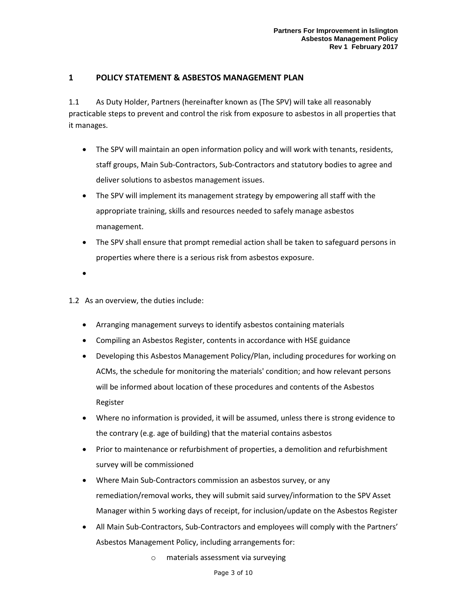## **1 POLICY STATEMENT & ASBESTOS MANAGEMENT PLAN**

1.1 As Duty Holder, Partners (hereinafter known as (The SPV) will take all reasonably practicable steps to prevent and control the risk from exposure to asbestos in all properties that it manages.

- The SPV will maintain an open information policy and will work with tenants, residents, staff groups, Main Sub-Contractors, Sub-Contractors and statutory bodies to agree and deliver solutions to asbestos management issues.
- The SPV will implement its management strategy by empowering all staff with the appropriate training, skills and resources needed to safely manage asbestos management.
- The SPV shall ensure that prompt remedial action shall be taken to safeguard persons in properties where there is a serious risk from asbestos exposure.
- •

1.2 As an overview, the duties include:

- Arranging management surveys to identify asbestos containing materials
- Compiling an Asbestos Register, contents in accordance with HSE guidance
- Developing this Asbestos Management Policy/Plan, including procedures for working on ACMs, the schedule for monitoring the materials' condition; and how relevant persons will be informed about location of these procedures and contents of the Asbestos Register
- Where no information is provided, it will be assumed, unless there is strong evidence to the contrary (e.g. age of building) that the material contains asbestos
- Prior to maintenance or refurbishment of properties, a demolition and refurbishment survey will be commissioned
- Where Main Sub-Contractors commission an asbestos survey, or any remediation/removal works, they will submit said survey/information to the SPV Asset Manager within 5 working days of receipt, for inclusion/update on the Asbestos Register
- All Main Sub-Contractors, Sub-Contractors and employees will comply with the Partners' Asbestos Management Policy, including arrangements for:
	- o materials assessment via surveying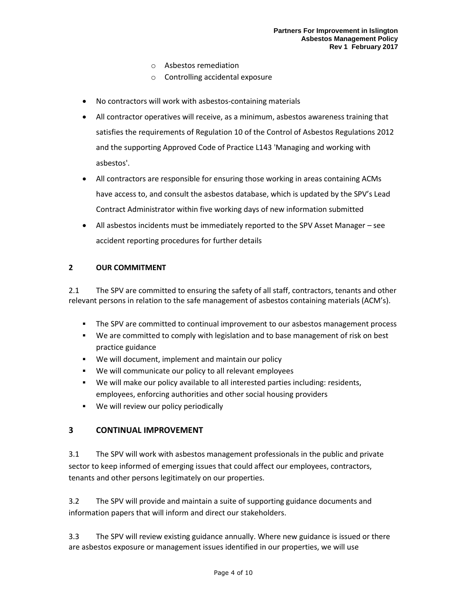- o Asbestos remediation
- o Controlling accidental exposure
- No contractors will work with asbestos-containing materials
- All contractor operatives will receive, as a minimum, asbestos awareness training that satisfies the requirements of Regulation 10 of the Control of Asbestos Regulations 2012 and the supporting Approved Code of Practice L143 'Managing and working with asbestos'.
- All contractors are responsible for ensuring those working in areas containing ACMs have access to, and consult the asbestos database, which is updated by the SPV's Lead Contract Administrator within five working days of new information submitted
- All asbestos incidents must be immediately reported to the SPV Asset Manager see accident reporting procedures for further details

#### **2 OUR COMMITMENT**

2.1 The SPV are committed to ensuring the safety of all staff, contractors, tenants and other relevant persons in relation to the safe management of asbestos containing materials (ACM's).

- **The SPV are committed to continual improvement to our asbestos management process**
- We are committed to comply with legislation and to base management of risk on best practice guidance
- We will document, implement and maintain our policy
- We will communicate our policy to all relevant employees
- We will make our policy available to all interested parties including: residents, employees, enforcing authorities and other social housing providers
- We will review our policy periodically

## **3 CONTINUAL IMPROVEMENT**

3.1 The SPV will work with asbestos management professionals in the public and private sector to keep informed of emerging issues that could affect our employees, contractors, tenants and other persons legitimately on our properties.

3.2 The SPV will provide and maintain a suite of supporting guidance documents and information papers that will inform and direct our stakeholders.

3.3 The SPV will review existing guidance annually. Where new guidance is issued or there are asbestos exposure or management issues identified in our properties, we will use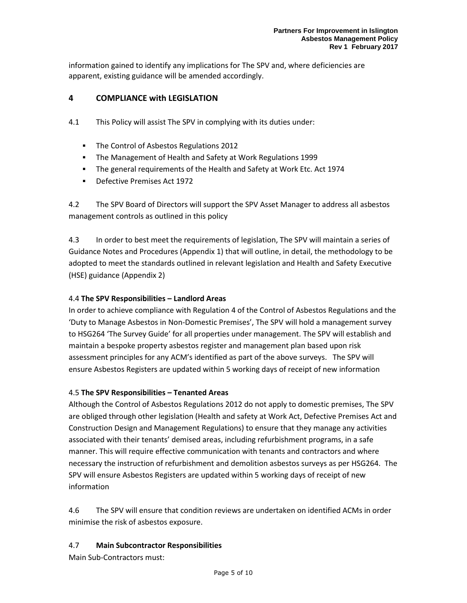information gained to identify any implications for The SPV and, where deficiencies are apparent, existing guidance will be amended accordingly.

## **4 COMPLIANCE with LEGISLATION**

- 4.1 This Policy will assist The SPV in complying with its duties under:
	- The Control of Asbestos Regulations 2012
	- The Management of Health and Safety at Work Regulations 1999
	- The general requirements of the Health and Safety at Work Etc. Act 1974
	- Defective Premises Act 1972

4.2 The SPV Board of Directors will support the SPV Asset Manager to address all asbestos management controls as outlined in this policy

4.3 In order to best meet the requirements of legislation, The SPV will maintain a series of Guidance Notes and Procedures (Appendix 1) that will outline, in detail, the methodology to be adopted to meet the standards outlined in relevant legislation and Health and Safety Executive (HSE) guidance (Appendix 2)

#### 4.4 **The SPV Responsibilities – Landlord Areas**

In order to achieve compliance with Regulation 4 of the Control of Asbestos Regulations and the 'Duty to Manage Asbestos in Non-Domestic Premises', The SPV will hold a management survey to HSG264 'The Survey Guide' for all properties under management. The SPV will establish and maintain a bespoke property asbestos register and management plan based upon risk assessment principles for any ACM's identified as part of the above surveys. The SPV will ensure Asbestos Registers are updated within 5 working days of receipt of new information

#### 4.5 **The SPV Responsibilities – Tenanted Areas**

Although the Control of Asbestos Regulations 2012 do not apply to domestic premises, The SPV are obliged through other legislation (Health and safety at Work Act, Defective Premises Act and Construction Design and Management Regulations) to ensure that they manage any activities associated with their tenants' demised areas, including refurbishment programs, in a safe manner. This will require effective communication with tenants and contractors and where necessary the instruction of refurbishment and demolition asbestos surveys as per HSG264. The SPV will ensure Asbestos Registers are updated within 5 working days of receipt of new information

4.6 The SPV will ensure that condition reviews are undertaken on identified ACMs in order minimise the risk of asbestos exposure.

#### 4.7 **Main Subcontractor Responsibilities**

Main Sub-Contractors must: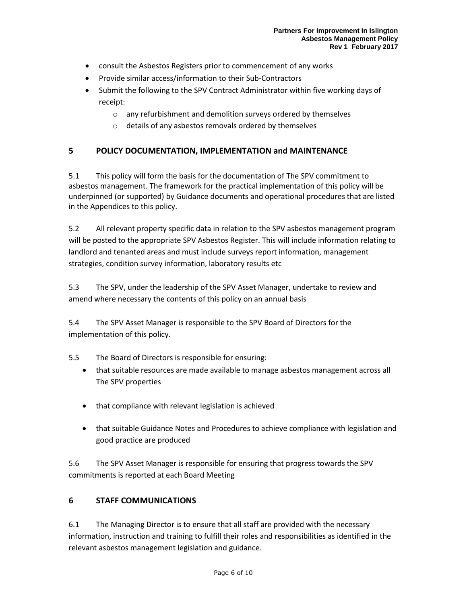- consult the Asbestos Registers prior to commencement of any works
- Provide similar access/information to their Sub-Contractors
- Submit the following to the SPV Contract Administrator within five working days of receipt:
	- o any refurbishment and demolition surveys ordered by themselves
	- o details of any asbestos removals ordered by themselves

## **5 POLICY DOCUMENTATION, IMPLEMENTATION and MAINTENANCE**

5.1 This policy will form the basis for the documentation of The SPV commitment to asbestos management. The framework for the practical implementation of this policy will be underpinned (or supported) by Guidance documents and operational procedures that are listed in the Appendices to this policy.

5.2 All relevant property specific data in relation to the SPV asbestos management program will be posted to the appropriate SPV Asbestos Register. This will include information relating to landlord and tenanted areas and must include surveys report information, management strategies, condition survey information, laboratory results etc

5.3 The SPV, under the leadership of the SPV Asset Manager, undertake to review and amend where necessary the contents of this policy on an annual basis

5.4 The SPV Asset Manager is responsible to the SPV Board of Directors for the implementation of this policy.

- 5.5 The Board of Directors is responsible for ensuring:
	- that suitable resources are made available to manage asbestos management across all The SPV properties
	- that compliance with relevant legislation is achieved
	- that suitable Guidance Notes and Procedures to achieve compliance with legislation and good practice are produced

5.6 The SPV Asset Manager is responsible for ensuring that progress towards the SPV commitments is reported at each Board Meeting

## **6 STAFF COMMUNICATIONS**

6.1 The Managing Director is to ensure that all staff are provided with the necessary information, instruction and training to fulfill their roles and responsibilities as identified in the relevant asbestos management legislation and guidance.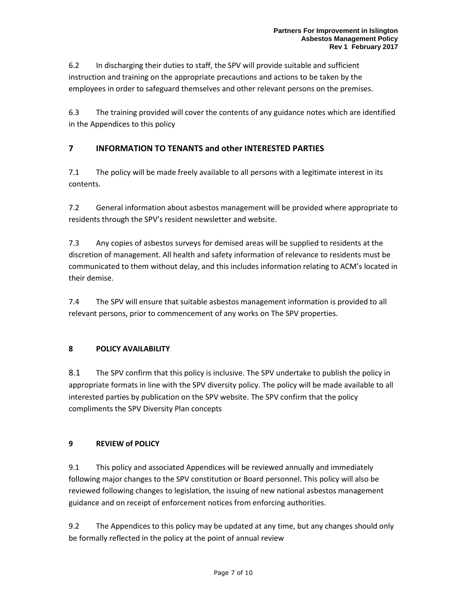6.2 In discharging their duties to staff, the SPV will provide suitable and sufficient instruction and training on the appropriate precautions and actions to be taken by the employees in order to safeguard themselves and other relevant persons on the premises.

6.3 The training provided will cover the contents of any guidance notes which are identified in the Appendices to this policy

## **7 INFORMATION TO TENANTS and other INTERESTED PARTIES**

7.1 The policy will be made freely available to all persons with a legitimate interest in its contents.

7.2 General information about asbestos management will be provided where appropriate to residents through the SPV's resident newsletter and website.

7.3 Any copies of asbestos surveys for demised areas will be supplied to residents at the discretion of management. All health and safety information of relevance to residents must be communicated to them without delay, and this includes information relating to ACM's located in their demise.

7.4 The SPV will ensure that suitable asbestos management information is provided to all relevant persons, prior to commencement of any works on The SPV properties.

#### **8 POLICY AVAILABILITY**

8.1 The SPV confirm that this policy is inclusive. The SPV undertake to publish the policy in appropriate formats in line with the SPV diversity policy. The policy will be made available to all interested parties by publication on the SPV website. The SPV confirm that the policy compliments the SPV Diversity Plan concepts

## **9 REVIEW of POLICY**

9.1 This policy and associated Appendices will be reviewed annually and immediately following major changes to the SPV constitution or Board personnel. This policy will also be reviewed following changes to legislation, the issuing of new national asbestos management guidance and on receipt of enforcement notices from enforcing authorities.

9.2 The Appendices to this policy may be updated at any time, but any changes should only be formally reflected in the policy at the point of annual review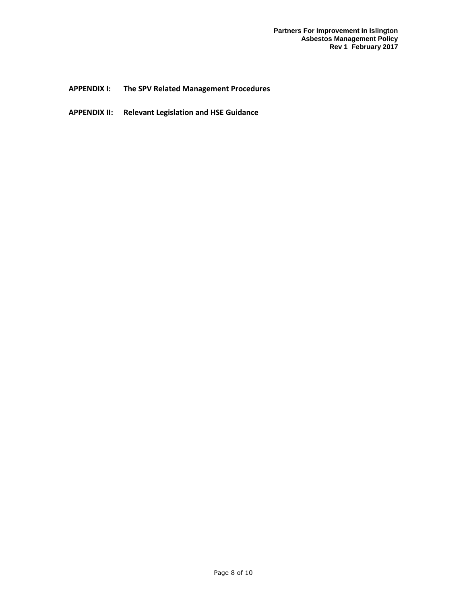**APPENDIX I: The SPV Related Management Procedures**

**APPENDIX II: Relevant Legislation and HSE Guidance**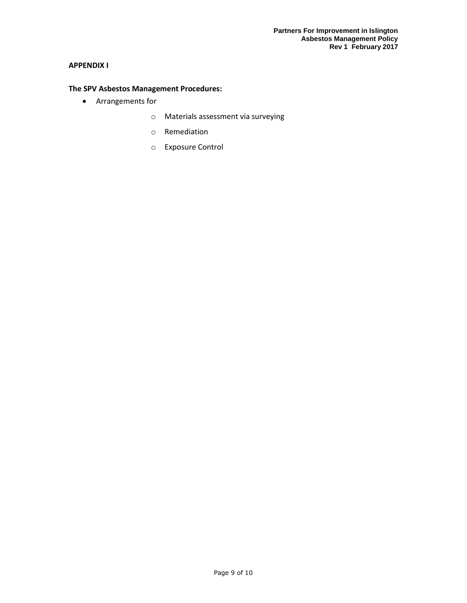#### **APPENDIX I**

## **The SPV Asbestos Management Procedures:**

- Arrangements for
	- o Materials assessment via surveying
	- o Remediation
	- o Exposure Control